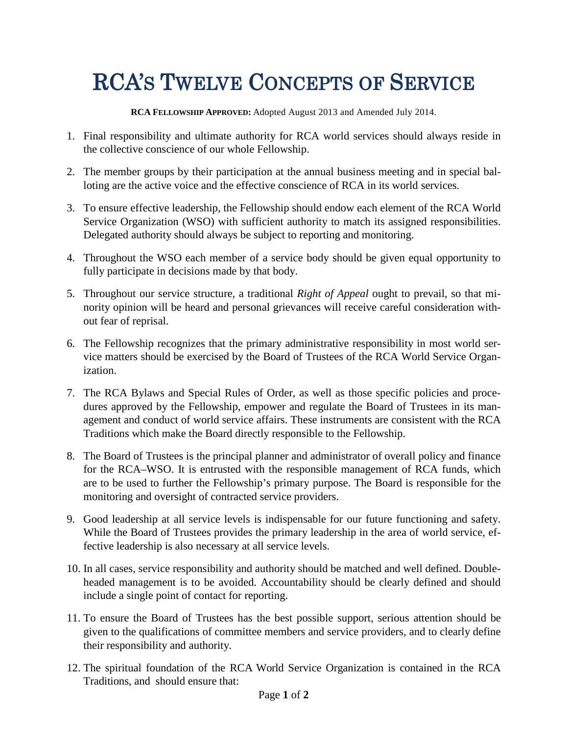## RCA'S TWELVE CONCEPTS OF SERVICE

**RCA FELLOWSHIP APPROVED:** Adopted August 2013 and Amended July 2014.

- 1. Final responsibility and ultimate authority for RCA world services should always reside in the collective conscience of our whole Fellowship.
- 2. The member groups by their participation at the annual business meeting and in special balloting are the active voice and the effective conscience of RCA in its world services.
- 3. To ensure effective leadership, the Fellowship should endow each element of the RCA World Service Organization (WSO) with sufficient authority to match its assigned responsibilities. Delegated authority should always be subject to reporting and monitoring.
- 4. Throughout the WSO each member of a service body should be given equal opportunity to fully participate in decisions made by that body.
- 5. Throughout our service structure, a traditional *Right of Appeal* ought to prevail, so that minority opinion will be heard and personal grievances will receive careful consideration without fear of reprisal.
- 6. The Fellowship recognizes that the primary administrative responsibility in most world service matters should be exercised by the Board of Trustees of the RCA World Service Organization.
- 7. The RCA Bylaws and Special Rules of Order, as well as those specific policies and procedures approved by the Fellowship, empower and regulate the Board of Trustees in its management and conduct of world service affairs. These instruments are consistent with the RCA Traditions which make the Board directly responsible to the Fellowship.
- 8. The Board of Trustees is the principal planner and administrator of overall policy and finance for the RCA–WSO. It is entrusted with the responsible management of RCA funds, which are to be used to further the Fellowship's primary purpose. The Board is responsible for the monitoring and oversight of contracted service providers.
- 9. Good leadership at all service levels is indispensable for our future functioning and safety. While the Board of Trustees provides the primary leadership in the area of world service, effective leadership is also necessary at all service levels.
- 10. In all cases, service responsibility and authority should be matched and well defined. Doubleheaded management is to be avoided. Accountability should be clearly defined and should include a single point of contact for reporting.
- 11. To ensure the Board of Trustees has the best possible support, serious attention should be given to the qualifications of committee members and service providers, and to clearly define their responsibility and authority.
- 12. The spiritual foundation of the RCA World Service Organization is contained in the RCA Traditions, and should ensure that: